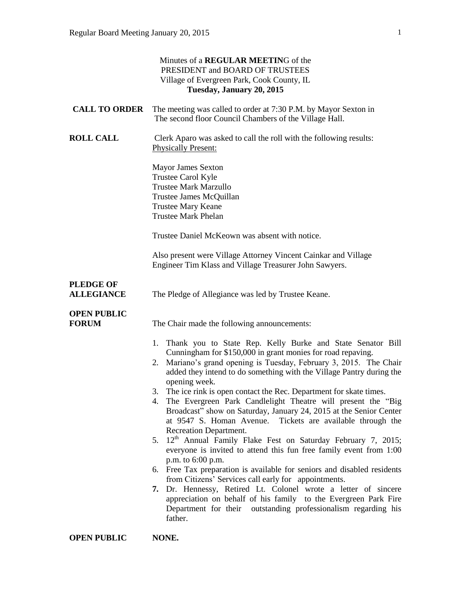| Minutes of a <b>REGULAR MEETING</b> of the<br>PRESIDENT and BOARD OF TRUSTEES<br>Village of Evergreen Park, Cook County, IL<br>Tuesday, January 20, 2015 |                                                                                                                                                                                                                                                                                                                                                                                                                                                                                                                                                                                                                                                                                                                                                                                                                                                                                                                                                                                                                                                                                                                                             |
|----------------------------------------------------------------------------------------------------------------------------------------------------------|---------------------------------------------------------------------------------------------------------------------------------------------------------------------------------------------------------------------------------------------------------------------------------------------------------------------------------------------------------------------------------------------------------------------------------------------------------------------------------------------------------------------------------------------------------------------------------------------------------------------------------------------------------------------------------------------------------------------------------------------------------------------------------------------------------------------------------------------------------------------------------------------------------------------------------------------------------------------------------------------------------------------------------------------------------------------------------------------------------------------------------------------|
| <b>CALL TO ORDER</b>                                                                                                                                     | The meeting was called to order at 7:30 P.M. by Mayor Sexton in<br>The second floor Council Chambers of the Village Hall.                                                                                                                                                                                                                                                                                                                                                                                                                                                                                                                                                                                                                                                                                                                                                                                                                                                                                                                                                                                                                   |
| <b>ROLL CALL</b>                                                                                                                                         | Clerk Aparo was asked to call the roll with the following results:<br><b>Physically Present:</b>                                                                                                                                                                                                                                                                                                                                                                                                                                                                                                                                                                                                                                                                                                                                                                                                                                                                                                                                                                                                                                            |
|                                                                                                                                                          | <b>Mayor James Sexton</b><br>Trustee Carol Kyle<br><b>Trustee Mark Marzullo</b><br>Trustee James McQuillan<br><b>Trustee Mary Keane</b><br><b>Trustee Mark Phelan</b>                                                                                                                                                                                                                                                                                                                                                                                                                                                                                                                                                                                                                                                                                                                                                                                                                                                                                                                                                                       |
|                                                                                                                                                          | Trustee Daniel McKeown was absent with notice.                                                                                                                                                                                                                                                                                                                                                                                                                                                                                                                                                                                                                                                                                                                                                                                                                                                                                                                                                                                                                                                                                              |
|                                                                                                                                                          | Also present were Village Attorney Vincent Cainkar and Village<br>Engineer Tim Klass and Village Treasurer John Sawyers.                                                                                                                                                                                                                                                                                                                                                                                                                                                                                                                                                                                                                                                                                                                                                                                                                                                                                                                                                                                                                    |
| <b>PLEDGE OF</b><br><b>ALLEGIANCE</b>                                                                                                                    | The Pledge of Allegiance was led by Trustee Keane.                                                                                                                                                                                                                                                                                                                                                                                                                                                                                                                                                                                                                                                                                                                                                                                                                                                                                                                                                                                                                                                                                          |
| <b>OPEN PUBLIC</b><br><b>FORUM</b>                                                                                                                       | The Chair made the following announcements:                                                                                                                                                                                                                                                                                                                                                                                                                                                                                                                                                                                                                                                                                                                                                                                                                                                                                                                                                                                                                                                                                                 |
|                                                                                                                                                          | 1. Thank you to State Rep. Kelly Burke and State Senator Bill<br>Cunningham for \$150,000 in grant monies for road repaving.<br>Mariano's grand opening is Tuesday, February 3, 2015. The Chair<br>2.<br>added they intend to do something with the Village Pantry during the<br>opening week.<br>The ice rink is open contact the Rec. Department for skate times.<br>3.<br>The Evergreen Park Candlelight Theatre will present the "Big<br>4.<br>Broadcast" show on Saturday, January 24, 2015 at the Senior Center<br>at 9547 S. Homan Avenue. Tickets are available through the<br>Recreation Department.<br>5. 12 <sup>th</sup> Annual Family Flake Fest on Saturday February 7, 2015;<br>everyone is invited to attend this fun free family event from 1:00<br>p.m. to 6:00 p.m.<br>6. Free Tax preparation is available for seniors and disabled residents<br>from Citizens' Services call early for appointments.<br>7. Dr. Hennessy, Retired Lt. Colonel wrote a letter of sincere<br>appreciation on behalf of his family to the Evergreen Park Fire<br>Department for their outstanding professionalism regarding his<br>father. |
| <b>OPEN PUBLIC</b>                                                                                                                                       | NONE.                                                                                                                                                                                                                                                                                                                                                                                                                                                                                                                                                                                                                                                                                                                                                                                                                                                                                                                                                                                                                                                                                                                                       |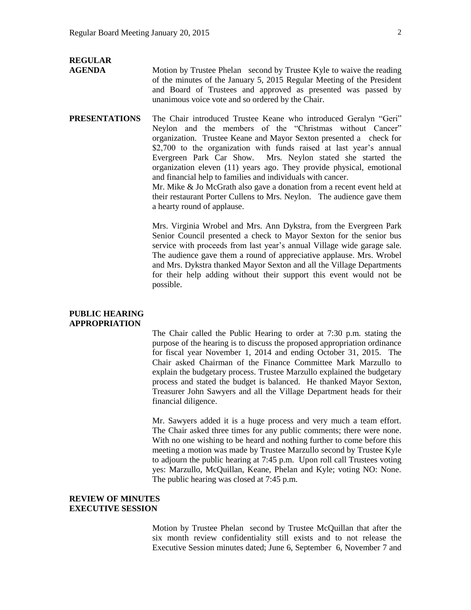### **REGULAR AGENDA** Motion by Trustee Phelan second by Trustee Kyle to waive the reading of the minutes of the January 5, 2015 Regular Meeting of the President and Board of Trustees and approved as presented was passed by unanimous voice vote and so ordered by the Chair.

**PRESENTATIONS** The Chair introduced Trustee Keane who introduced Geralyn "Geri" Neylon and the members of the "Christmas without Cancer" organization. Trustee Keane and Mayor Sexton presented a check for \$2,700 to the organization with funds raised at last year's annual Evergreen Park Car Show. Mrs. Neylon stated she started the organization eleven (11) years ago. They provide physical, emotional and financial help to families and individuals with cancer. Mr. Mike & Jo McGrath also gave a donation from a recent event held at their restaurant Porter Cullens to Mrs. Neylon. The audience gave them a hearty round of applause.

> Mrs. Virginia Wrobel and Mrs. Ann Dykstra, from the Evergreen Park Senior Council presented a check to Mayor Sexton for the senior bus service with proceeds from last year's annual Village wide garage sale. The audience gave them a round of appreciative applause. Mrs. Wrobel and Mrs. Dykstra thanked Mayor Sexton and all the Village Departments for their help adding without their support this event would not be possible.

### **PUBLIC HEARING APPROPRIATION**

The Chair called the Public Hearing to order at 7:30 p.m. stating the purpose of the hearing is to discuss the proposed appropriation ordinance for fiscal year November 1, 2014 and ending October 31, 2015. The Chair asked Chairman of the Finance Committee Mark Marzullo to explain the budgetary process. Trustee Marzullo explained the budgetary process and stated the budget is balanced. He thanked Mayor Sexton, Treasurer John Sawyers and all the Village Department heads for their financial diligence.

Mr. Sawyers added it is a huge process and very much a team effort. The Chair asked three times for any public comments; there were none. With no one wishing to be heard and nothing further to come before this meeting a motion was made by Trustee Marzullo second by Trustee Kyle to adjourn the public hearing at 7:45 p.m. Upon roll call Trustees voting yes: Marzullo, McQuillan, Keane, Phelan and Kyle; voting NO: None. The public hearing was closed at 7:45 p.m.

### **REVIEW OF MINUTES EXECUTIVE SESSION**

Motion by Trustee Phelan second by Trustee McQuillan that after the six month review confidentiality still exists and to not release the Executive Session minutes dated; June 6, September 6, November 7 and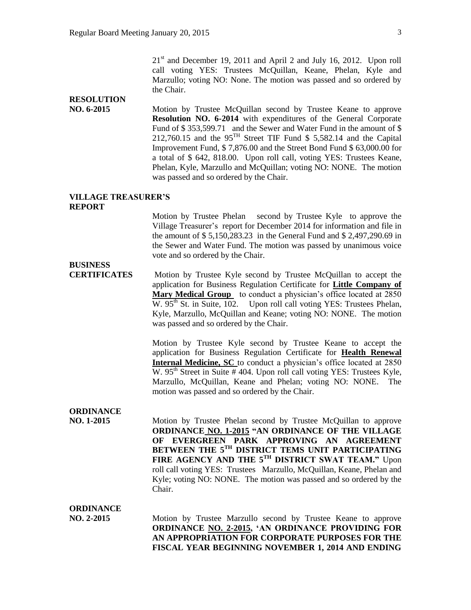$21<sup>st</sup>$  and December 19, 2011 and April 2 and July 16, 2012. Upon roll call voting YES: Trustees McQuillan, Keane, Phelan, Kyle and Marzullo; voting NO: None. The motion was passed and so ordered by the Chair.

# **RESOLUTION**

**NO. 6-2015** Motion by Trustee McQuillan second by Trustee Keane to approve **Resolution NO. 6-2014** with expenditures of the General Corporate Fund of \$ 353,599.71 and the Sewer and Water Fund in the amount of \$ 212,760.15 and the 95TH Street TIF Fund \$ 5,582.14 and the Capital Improvement Fund, \$ 7,876.00 and the Street Bond Fund \$ 63,000.00 for a total of \$ 642, 818.00. Upon roll call, voting YES: Trustees Keane, Phelan, Kyle, Marzullo and McQuillan; voting NO: NONE. The motion was passed and so ordered by the Chair.

### **VILLAGE TREASURER'S REPORT**

Motion by Trustee Phelan second by Trustee Kyle to approve the Village Treasurer's report for December 2014 for information and file in the amount of \$ 5,150,283.23 in the General Fund and \$ 2,497,290.69 in the Sewer and Water Fund. The motion was passed by unanimous voice vote and so ordered by the Chair.

**CERTIFICATES** Motion by Trustee Kyle second by Trustee McQuillan to accept the application for Business Regulation Certificate for **Little Company of Mary Medical Group** to conduct a physician's office located at 2850 W.  $95<sup>th</sup>$  St. in Suite, 102. Upon roll call voting YES: Trustees Phelan, Kyle, Marzullo, McQuillan and Keane; voting NO: NONE. The motion was passed and so ordered by the Chair.

> Motion by Trustee Kyle second by Trustee Keane to accept the application for Business Regulation Certificate for **Health Renewal Internal Medicine, SC** to conduct a physician's office located at 2850 W.  $95<sup>th</sup>$  Street in Suite # 404. Upon roll call voting YES: Trustees Kyle, Marzullo, McQuillan, Keane and Phelan; voting NO: NONE. The motion was passed and so ordered by the Chair.

# **ORDINANCE**

**BUSINESS** 

**NO. 1-2015** Motion by Trustee Phelan second by Trustee McQuillan to approve **ORDINANCE NO. 1-2015 "AN ORDINANCE OF THE VILLAGE OF EVERGREEN PARK APPROVING AN AGREEMENT BETWEEN THE 5TH DISTRICT TEMS UNIT PARTICIPATING FIRE AGENCY AND THE 5TH DISTRICT SWAT TEAM."** Upon roll call voting YES: Trustees Marzullo, McQuillan, Keane, Phelan and Kyle; voting NO: NONE. The motion was passed and so ordered by the Chair.

**ORDINANCE**

**NO. 2-2015** Motion by Trustee Marzullo second by Trustee Keane to approve **ORDINANCE NO. 2-2015, 'AN ORDINANCE PROVIDING FOR AN APPROPRIATION FOR CORPORATE PURPOSES FOR THE FISCAL YEAR BEGINNING NOVEMBER 1, 2014 AND ENDING**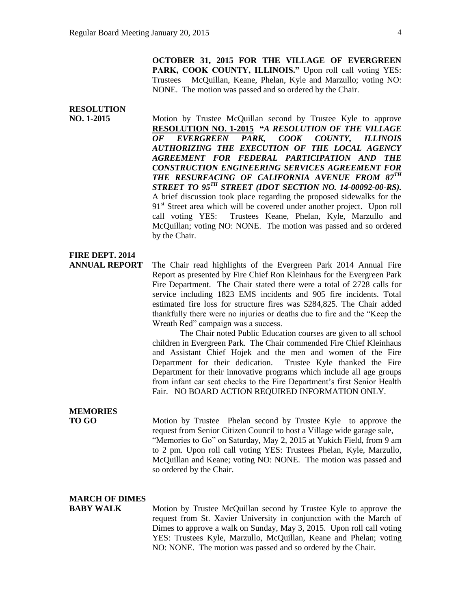**OCTOBER 31, 2015 FOR THE VILLAGE OF EVERGREEN**  PARK, COOK COUNTY, ILLINOIS." Upon roll call voting YES: Trustees McQuillan, Keane, Phelan, Kyle and Marzullo; voting NO: NONE. The motion was passed and so ordered by the Chair.

# **RESOLUTION**

**NO. 1-2015** Motion by Trustee McQuillan second by Trustee Kyle to approve **RESOLUTION NO. 1-2015 "***A RESOLUTION OF THE VILLAGE OF EVERGREEN PARK, COOK COUNTY, ILLINOIS AUTHORIZING THE EXECUTION OF THE LOCAL AGENCY AGREEMENT FOR FEDERAL PARTICIPATION AND THE CONSTRUCTION ENGINEERING SERVICES AGREEMENT FOR THE RESURFACING OF CALIFORNIA AVENUE FROM 87TH STREET TO 95TH STREET (IDOT SECTION NO. 14-00092-00-RS).* A brief discussion took place regarding the proposed sidewalks for the 91<sup>st</sup> Street area which will be covered under another project. Upon roll call voting YES: Trustees Keane, Phelan, Kyle, Marzullo and McQuillan; voting NO: NONE. The motion was passed and so ordered by the Chair.

# **FIRE DEPT. 2014**

**ANNUAL REPORT** The Chair read highlights of the Evergreen Park 2014 Annual Fire Report as presented by Fire Chief Ron Kleinhaus for the Evergreen Park Fire Department. The Chair stated there were a total of 2728 calls for service including 1823 EMS incidents and 905 fire incidents. Total estimated fire loss for structure fires was \$284,825. The Chair added thankfully there were no injuries or deaths due to fire and the "Keep the Wreath Red" campaign was a success.

> The Chair noted Public Education courses are given to all school children in Evergreen Park. The Chair commended Fire Chief Kleinhaus and Assistant Chief Hojek and the men and women of the Fire Department for their dedication. Trustee Kyle thanked the Fire Department for their innovative programs which include all age groups from infant car seat checks to the Fire Department's first Senior Health Fair. NO BOARD ACTION REQUIRED INFORMATION ONLY.

# **MEMORIES**

**TO GO Motion by Trustee** Phelan second by Trustee Kyle to approve the request from Senior Citizen Council to host a Village wide garage sale, "Memories to Go" on Saturday, May 2, 2015 at Yukich Field, from 9 am to 2 pm. Upon roll call voting YES: Trustees Phelan, Kyle, Marzullo, McQuillan and Keane; voting NO: NONE. The motion was passed and so ordered by the Chair.

### **MARCH OF DIMES**

**BABY WALK** Motion by Trustee McQuillan second by Trustee Kyle to approve the request from St. Xavier University in conjunction with the March of Dimes to approve a walk on Sunday, May 3, 2015. Upon roll call voting YES: Trustees Kyle, Marzullo, McQuillan, Keane and Phelan; voting NO: NONE. The motion was passed and so ordered by the Chair.